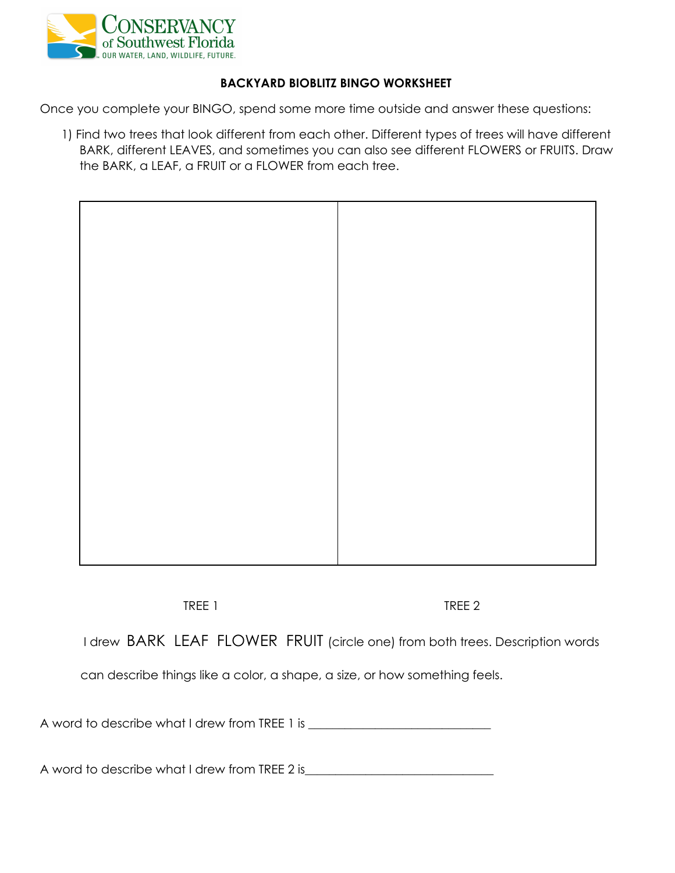

## **BACKYARD BIOBLITZ BINGO WORKSHEET**

Once you complete your BINGO, spend some more time outside and answer these questions:

1) Find two trees that look different from each other. Different types of trees will have different BARK, different LEAVES, and sometimes you can also see different FLOWERS or FRUITS. Draw the BARK, a LEAF, a FRUIT or a FLOWER from each tree.



TREE 1 TREE 2

I drew BARK LEAF FLOWER FRUIT (circle one) from both trees. Description words

can describe things like a color, a shape, a size, or how something feels.

A word to describe what I drew from TREE 1 is \_\_\_\_\_\_\_\_\_\_\_\_\_\_\_\_\_\_\_\_\_\_\_\_\_\_\_\_\_\_

A word to describe what I drew from TREE 2 is\_\_\_\_\_\_\_\_\_\_\_\_\_\_\_\_\_\_\_\_\_\_\_\_\_\_\_\_\_\_\_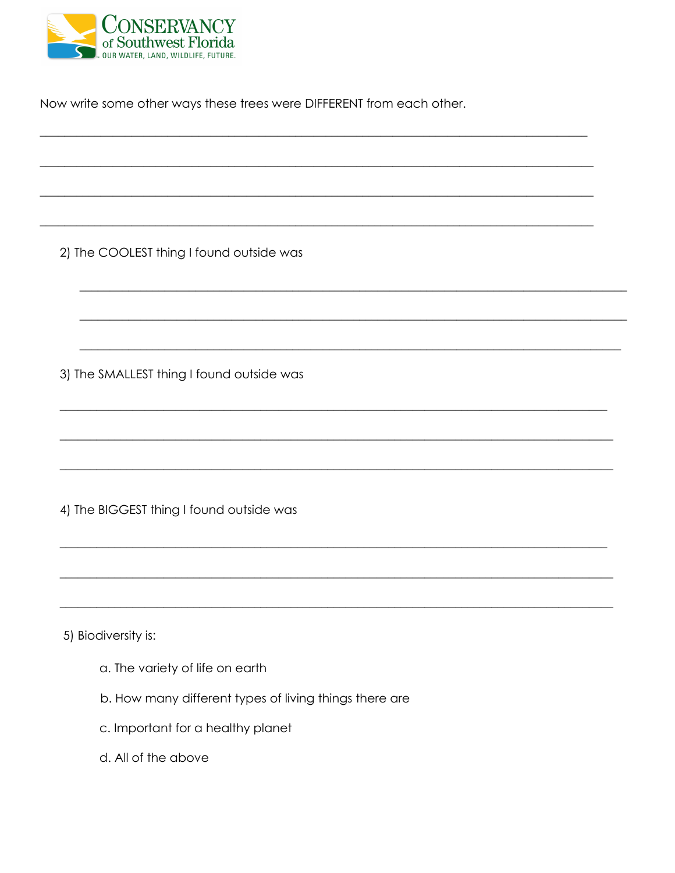

Now write some other ways these trees were DIFFERENT from each other.

2) The COOLEST thing I found outside was

3) The SMALLEST thing I found outside was

4) The BIGGEST thing I found outside was

5) Biodiversity is:

- a. The variety of life on earth
- b. How many different types of living things there are
- c. Important for a healthy planet
- d. All of the above